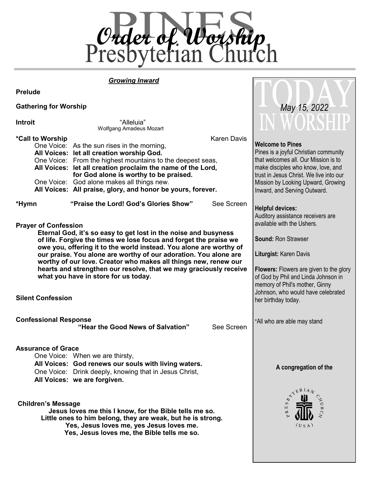

 *May 15, 2022*

# *Growing Inward*

**Prelude**

## **Gathering for Worship**

| <b>Introit</b>               | "Alleluia"<br><b>Wolfgang Amadeus Mozart</b>                                                                                                                                                                                                                                                                                                                                                                                                                   | <b>IN WORSFILE</b>                                                                                                                                                                                                                                              |  |
|------------------------------|----------------------------------------------------------------------------------------------------------------------------------------------------------------------------------------------------------------------------------------------------------------------------------------------------------------------------------------------------------------------------------------------------------------------------------------------------------------|-----------------------------------------------------------------------------------------------------------------------------------------------------------------------------------------------------------------------------------------------------------------|--|
| *Call to Worship             | <b>Karen Davis</b><br>One Voice: As the sun rises in the morning,<br>All Voices: let all creation worship God.<br>One Voice: From the highest mountains to the deepest seas,<br>All Voices: let all creation proclaim the name of the Lord,<br>for God alone is worthy to be praised.<br>One Voice: God alone makes all things new.<br>All Voices: All praise, glory, and honor be yours, forever.                                                             | <b>Welcome to Pines</b><br>Pines is a joyful Christian community<br>that welcomes all. Our Mission is to<br>make disciples who know, love, and<br>trust in Jesus Christ. We live into our<br>Mission by Looking Upward, Growing<br>Inward, and Serving Outward. |  |
| *Hymn                        | "Praise the Lord! God's Glories Show"<br>See Screen                                                                                                                                                                                                                                                                                                                                                                                                            | <b>Helpful devices:</b><br>Auditory assistance receivers are<br>available with the Ushers.                                                                                                                                                                      |  |
| <b>Prayer of Confession</b>  | Eternal God, it's so easy to get lost in the noise and busyness<br>of life. Forgive the times we lose focus and forget the praise we<br>owe you, offering it to the world instead. You alone are worthy of<br>our praise. You alone are worthy of our adoration. You alone are<br>worthy of our love. Creator who makes all things new, renew our<br>hearts and strengthen our resolve, that we may graciously receive<br>what you have in store for us today. | <b>Sound: Ron Strawser</b><br>Liturgist: Karen Davis<br><b>Flowers:</b> Flowers are given to the glory<br>of God by Phil and Linda Johnson in<br>memory of Phil's mother, Ginny                                                                                 |  |
| <b>Silent Confession</b>     |                                                                                                                                                                                                                                                                                                                                                                                                                                                                | Johnson, who would have celebrated<br>her birthday today.                                                                                                                                                                                                       |  |
| <b>Confessional Response</b> | "Hear the Good News of Salvation"<br>See Screen                                                                                                                                                                                                                                                                                                                                                                                                                | *All who are able may stand                                                                                                                                                                                                                                     |  |
| <b>Assurance of Grace</b>    | One Voice: When we are thirsty,<br>All Voices: God renews our souls with living waters.<br>One Voice: Drink deeply, knowing that in Jesus Christ,<br>All Voices: we are forgiven.                                                                                                                                                                                                                                                                              | A congregation of the<br>YERIAN                                                                                                                                                                                                                                 |  |
| <b>Children's Message</b>    | Jesus loves me this I know, for the Bible tells me so.<br>Little ones to him belong, they are weak, but he is strong.<br>Yes, Jesus loves me, yes Jesus loves me.<br>Yes, Jesus loves me, the Bible tells me so.                                                                                                                                                                                                                                               | Щ<br>(U S A)                                                                                                                                                                                                                                                    |  |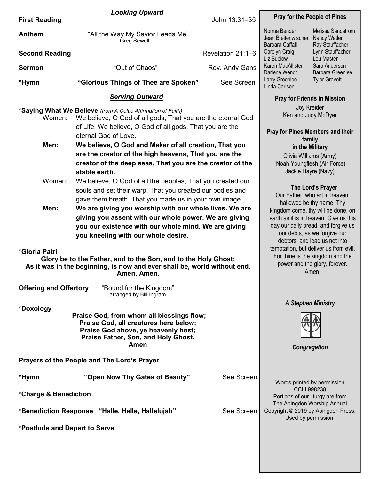|                                           | <b>Looking Upward</b>                                                                                                                                                                   | John 13:31-35                                                              |                                                                                                                                                                                 |                                                                        |  |
|-------------------------------------------|-----------------------------------------------------------------------------------------------------------------------------------------------------------------------------------------|----------------------------------------------------------------------------|---------------------------------------------------------------------------------------------------------------------------------------------------------------------------------|------------------------------------------------------------------------|--|
| <b>First Reading</b>                      |                                                                                                                                                                                         | <b>Pray for the People of Pines</b>                                        |                                                                                                                                                                                 |                                                                        |  |
| <b>Anthem</b>                             | "All the Way My Savior Leads Me"<br>Greg Sewell                                                                                                                                         |                                                                            | Norma Bender<br>Melissa Sandstrom<br>Jean Breitenwischer<br>Nancy Watler<br>Barbara Caffall<br>Ray Stauffacher<br>Carolyn Craig<br>Lynn Stauffacher<br>Liz Buelow<br>Lou Master |                                                                        |  |
| <b>Second Reading</b>                     |                                                                                                                                                                                         | Revelation 21:1-6                                                          |                                                                                                                                                                                 |                                                                        |  |
| <b>Sermon</b>                             | "Out of Chaos"                                                                                                                                                                          | Rev. Andy Gans                                                             | Karen MacAllister<br>Darlene Wendt                                                                                                                                              | Sara Anderson<br><b>Barbara Greenlee</b>                               |  |
| *Hymn                                     | "Glorious Things of Thee are Spoken"                                                                                                                                                    | See Screen                                                                 | Larry Greenlee<br>Linda Carlson                                                                                                                                                 | <b>Tyler Gravett</b>                                                   |  |
|                                           | <b>Serving Outward</b>                                                                                                                                                                  |                                                                            | <b>Pray for Friends in Mission</b>                                                                                                                                              |                                                                        |  |
| Women:                                    | *Saying What We Believe (from A Celtic Affirmation of Faith)<br>We believe, O God of all gods, That you are the eternal God<br>of Life. We believe, O God of all gods, That you are the | Joy Kreider<br>Ken and Judy McDyer                                         |                                                                                                                                                                                 |                                                                        |  |
|                                           | eternal God of Love.                                                                                                                                                                    |                                                                            | <b>Pray for Pines Members and their</b>                                                                                                                                         |                                                                        |  |
| Men:                                      | We believe, O God and Maker of all creation, That you                                                                                                                                   |                                                                            | family                                                                                                                                                                          |                                                                        |  |
|                                           |                                                                                                                                                                                         |                                                                            | in the Military                                                                                                                                                                 |                                                                        |  |
|                                           | are the creator of the high heavens, That you are the                                                                                                                                   |                                                                            | Olivia Williams (Army)                                                                                                                                                          |                                                                        |  |
|                                           | creator of the deep seas, That you are the creator of the                                                                                                                               |                                                                            | Noah Youngflesh (Air Force)                                                                                                                                                     |                                                                        |  |
|                                           | stable earth.                                                                                                                                                                           |                                                                            | Jackie Hayre (Navy)                                                                                                                                                             |                                                                        |  |
| Women:                                    | We believe, O God of all the peoples, That you created our                                                                                                                              |                                                                            | The Lord's Prayer                                                                                                                                                               |                                                                        |  |
|                                           | souls and set their warp, That you created our bodies and                                                                                                                               |                                                                            |                                                                                                                                                                                 | Our Father, who art in heaven,                                         |  |
|                                           | gave them breath, That you made us in your own image.                                                                                                                                   |                                                                            |                                                                                                                                                                                 | hallowed be thy name. Thy                                              |  |
| Men:                                      | We are giving you worship with our whole lives. We are                                                                                                                                  |                                                                            |                                                                                                                                                                                 | kingdom come, thy will be done, on                                     |  |
|                                           | giving you assent with our whole power. We are giving                                                                                                                                   |                                                                            |                                                                                                                                                                                 | earth as it is in heaven. Give us this                                 |  |
|                                           | day our daily bread; and forgive us<br>you our existence with our whole mind. We are giving                                                                                             |                                                                            |                                                                                                                                                                                 |                                                                        |  |
|                                           | you kneeling with our whole desire.                                                                                                                                                     |                                                                            |                                                                                                                                                                                 | our debts, as we forgive our                                           |  |
|                                           |                                                                                                                                                                                         |                                                                            |                                                                                                                                                                                 | debtors; and lead us not into<br>temptation, but deliver us from evil. |  |
| *Gloria Patri                             |                                                                                                                                                                                         |                                                                            |                                                                                                                                                                                 |                                                                        |  |
|                                           | Glory be to the Father, and to the Son, and to the Holy Ghost;<br>As it was in the beginning, is now and ever shall be, world without end.<br>Amen. Amen.                               | For thine is the kingdom and the<br>power and the glory, forever.<br>Amen. |                                                                                                                                                                                 |                                                                        |  |
|                                           |                                                                                                                                                                                         |                                                                            |                                                                                                                                                                                 |                                                                        |  |
| <b>Offering and Offertory</b>             | "Bound for the Kingdom"<br>arranged by Bill Ingram                                                                                                                                      |                                                                            |                                                                                                                                                                                 |                                                                        |  |
| *Doxology                                 |                                                                                                                                                                                         |                                                                            | <b>A Stephen Ministry</b>                                                                                                                                                       |                                                                        |  |
| Praise God, from whom all blessings flow; | Congregation                                                                                                                                                                            |                                                                            |                                                                                                                                                                                 |                                                                        |  |
|                                           | Prayers of the People and The Lord's Prayer                                                                                                                                             |                                                                            |                                                                                                                                                                                 |                                                                        |  |
| *Hymn                                     | "Open Now Thy Gates of Beauty"                                                                                                                                                          | See Screen                                                                 | Words printed by permission                                                                                                                                                     |                                                                        |  |
| *Charge & Benediction                     |                                                                                                                                                                                         |                                                                            | <b>CCLI 998238</b><br>Portions of our liturgy are from<br>The Abingdon Worship Annual                                                                                           |                                                                        |  |
|                                           | *Benediction Response "Halle, Halle, Hallelujah"                                                                                                                                        | Copyright © 2019 by Abingdon Press.<br>Used by permission.                 |                                                                                                                                                                                 |                                                                        |  |
| *Postlude and Depart to Serve             |                                                                                                                                                                                         |                                                                            |                                                                                                                                                                                 |                                                                        |  |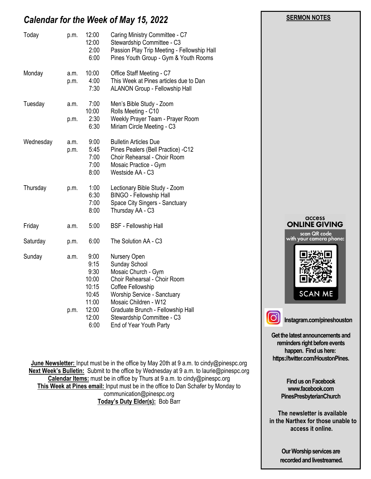# *Calendar for the Week of May 15, 2022*

| Today     | p.m.         | 12:00<br>12:00<br>2:00<br>6:00                                             | Caring Ministry Committee - C7<br>Stewardship Committee - C3<br>Passion Play Trip Meeting - Fellowship Hall<br>Pines Youth Group - Gym & Youth Rooms                                                                                 |                                         |
|-----------|--------------|----------------------------------------------------------------------------|--------------------------------------------------------------------------------------------------------------------------------------------------------------------------------------------------------------------------------------|-----------------------------------------|
| Monday    | a.m.<br>p.m. | 10:00<br>4:00<br>7:30                                                      | Office Staff Meeting - C7<br>This Week at Pines articles due to Dan<br><b>ALANON Group - Fellowship Hall</b>                                                                                                                         |                                         |
| Tuesday   | a.m.<br>p.m. | 7:00<br>10:00<br>2:30<br>6:30                                              | Men's Bible Study - Zoom<br>Rolls Meeting - C10<br>Weekly Prayer Team - Prayer Room<br>Miriam Circle Meeting - C3                                                                                                                    |                                         |
| Wednesday | a.m.<br>p.m. | 9:00<br>5:45<br>7:00<br>7:00<br>8:00                                       | <b>Bulletin Articles Due</b><br>Pines Pealers (Bell Practice) -C12<br>Choir Rehearsal - Choir Room<br>Mosaic Practice - Gym<br>Westside AA - C3                                                                                      |                                         |
| Thursday  | p.m.         | 1:00<br>6:30<br>7:00<br>8:00                                               | Lectionary Bible Study - Zoom<br><b>BINGO - Fellowship Hall</b><br>Space City Singers - Sanctuary<br>Thursday AA - C3                                                                                                                |                                         |
| Friday    | a.m.         | 5:00                                                                       | <b>BSF</b> - Fellowship Hall                                                                                                                                                                                                         | access<br><b>ONLINE GIVING</b>          |
| Saturday  | p.m.         | 6:00                                                                       | The Solution AA - C3                                                                                                                                                                                                                 | scan QR code<br>with your camera phone: |
| Sunday    | a.m.<br>p.m. | 9:00<br>9:15<br>9:30<br>10:00<br>10:15<br>10:45<br>11:00<br>12:00<br>12:00 | Nursery Open<br>Sunday School<br>Mosaic Church - Gym<br>Choir Rehearsal - Choir Room<br>Coffee Fellowship<br>Worship Service - Sanctuary<br>Mosaic Children - W12<br>Graduate Brunch - Fellowship Hall<br>Stewardship Committee - C3 | <b>SCAN ME</b>                          |
|           |              | 6:00                                                                       | End of Year Youth Party                                                                                                                                                                                                              | Instagram.com/pineshous                 |

**June Newsletter:** Input must be in the office by May 20th at 9 a.m. to cindy@pinespc.org **Next Week's Bulletin:** Submit to the office by Wednesday at 9 a.m. to laurie@pinespc.org **Calendar Items:** must be in office by Thurs at 9 a.m. to cindy@pinespc.org **This Week at Pines email:** Input must be in the office to Dan Schafer by Monday to communication@pinespc.org **Today's Duty Elder(s):** Bob Barr

**Instagram.com/pineshouston Get the latest announcements and** 

**reminders right before events happen. Find us here: https://twitter.com/HoustonPines.** 

 **SERMON NOTES** 

**Find us on Facebook www.facebook.com PinesPresbyterianChurch**

 **The newsletter is available in the Narthex for those unable to access it online.**

> **Our Worship services are recorded and livestreamed.**